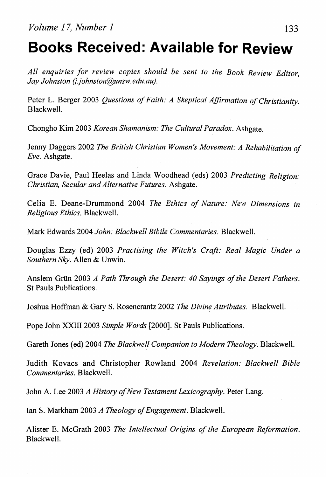*Volume 17, Number 1* 133

## **Books Received: Available for Review**

*All enquiries for review copies should be sent to the Book Review Editor, Jay Johnston (j.johnston@unsw.edu.au).* 

Peter L. Berger 2003 *Questions of Faith: A Skeptical Affirmation of Christianity.*  Blackwell.

Chongho Kim 2003 *Korean Shamanism: The Cultural Paradox.* Ashgate.

Jenny Daggers 2002 *The British Christian Women's Movement: A Rehabilitation of Eve.* Ashgate.

Grace Davie, Paul Heelas and Linda Woodhead (eds) 2003 *Predicting Religion: Christian, Secular and Alternative Futures.* Ashgate.

Celia E. Deane-Drummond 2004 *The Ethics of Nature: New Dimensions in Religious Ethics.* Blackwell.

Mark Edwards 2004 *John: Blackwell Bibile Commentaries.* Blackwell.

Douglas Ezzy (ed) 2003 *Practising the Witch's Craft: Real Magic Under a Southern Sky.* Allen & Unwin.

Anslem Griin 2003 *A Path Through the Desert: 40 Sayings of the Desert Fathers.*  St Pauls Publications.

Joshua Hoffman & Gary S. Rosencrantz 2002 *The Divine Attributes.* Blackwell.

Pope John XXIII 2003 *Simple Words* [2000]. St Pauls Publications.

Gareth Jones (ed) 2004 *The Blackwell Companion to Modern Theology.* Blackwell.

Judith Kovacs and Christopher Rowland 2004 *Revelation: Blackwell Bible Commentaries.* Blackwell.

John A. Lee 2003 *A History of New Testament Lexicography.* Peter Lang.

Ian S. Markham 2003 *A Theology of Engagement.* Blackwell.

Alister E. McGrath 2003 *The Intellectual Origins of the European Reformation.*  Blackwell.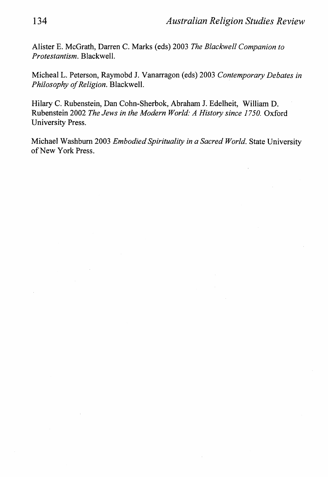Alister E. McGrath, Darren C. Marks (eds) 2003 *The Blackwell Companion to Protestantism.* Blackwell.

Micheal L. Peterson, Raymobd J. Vanarragon (eds) 2003 *Contemporary Debates in Philosophy of Religion.* Blackwell.

Hilary C. Rubenstein, Dan Cohn-Sherbok, Abraham J. Edelheit, William D. Rubenstein 2002 *The Jews in the Modern World: A History since 1750.* Oxford University Press.

Michael Washburn 2003 *Embodied Spirituality in a Sacred World.* State University of New York Press.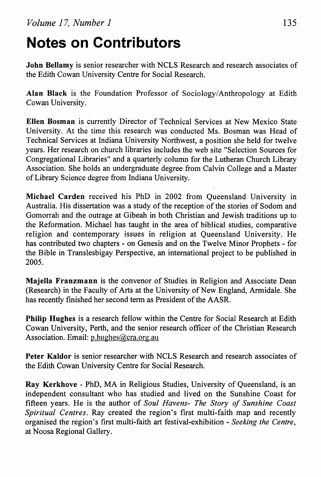## **Notes on Contributors**

**John Bellamy** is senior researcher with NCLS Research and research associates of the Edith Cowan University Centre for Social Research.

**Alan Black** is the Foundation Professor of Sociology/Anthropology at Edith Cowan University.

**Ellen Bosman** is currently Director of Technical Services at New Mexico State University. At the time this research was conducted Ms. Bosman was Head of Technical Services at Indiana University Northwest, a position she held for twelve years. Her research on church libraries includes the web site "Selection Sources for Congregational Libraries" and a quarterly column for the Lutheran Church Library Association. She holds an undergraduate degree from Calvin College and a Master of Library Science degree from Indiana University.

**Michael Carden** received his PhD in 2002 from Queensland University in Australia. His dissertation was a study of the reception of the stories of Sodom and Gomorrah and the outrage at Gibeah in both Christian and Jewish traditions up to the Reformation. Michael has taught in the area of biblical studies, comparative religion and contemporary issues in religion at Queensland University. He has contributed two chapters - on Genesis and on the Twelve Minor Prophets - for the Bible in Translesbigay Perspective, an international project to be published in 2005.

**Majella Franzmann** is the convenor of Studies in Religion and Associate Dean (Research) in the Faculty of Arts at the University of New England, Armidale. She has recently finished her second term as President of the AASR.

**Philip Hughes** is a research fellow within the Centre for Social Research at Edith Cowan University, Perth, and the senior research officer of the Christian Research Association. Email: p.hughes@cra.org.au

Peter Kaldor is senior researcher with NCLS Research and research associates of the Edith Cowan University Centre for Social Research.

**Ray Kerkhove** - PhD, MA in Religious Studies, University of Queensland, is an independent consultant who has studied and lived on the Sunshine Coast for fifteen years. He is the author of *Soul Havens- The Story of Sunshine Coast Spiritual Centres.* Ray created the region's first multi-faith map and recently organised the region's first multi-faith art festival-exhibition- *Seeking the Centre,*  at Noosa Regional Gallery.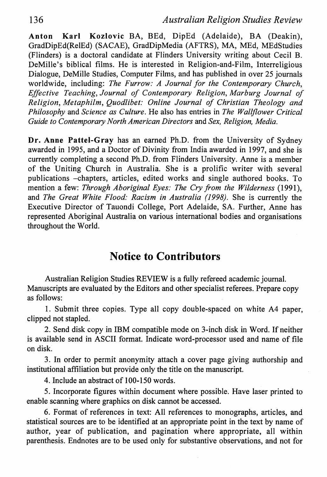**Anton Karl Kozlovic** BA, BEd, DipEd (Adelaide), BA (Deakin), GradDipEd(RelEd) (SACAE), GradDipMedia (AFTRS), MA, MEd, MEdStudies (Flinders) is a doctoral candidate at Flinders University writing about Cecil B. DeMille's biblical films. He is interested in Religion-and-Film, Interreligious Dialogue, DeMille Studies, Computer Films, and has published in over 25 journals worldwide, including: *The Furrow: A Journal for the Contemporary Church, Effective Teaching, Journal of Contemporary Religion, Marburg Journal of Religion, Metaphilm, Quodlibet: Online Journal of Christian Theology and Philosophy* and *Science as Culture.* He also has entries in *The Wallflower Critical Guide to Contemporary North American Directors* and *Sex, Religion, Media.* 

**Dr. Anne Pattei-Gray** has an earned Ph.D. from the University of Sydney awarded in 1995, and a Doctor of Divinity from India awarded in 1997, and she is currently completing a second Ph.D. from Flinders University. Anne is a member of the Uniting Church in Australia. She is a prolific writer with several publications -chapters, articles, edited works and single authored books. To mention a few: *Through Aboriginal Eyes: The Cry from the Wilderness* (1991), and *The Great White Flood: Racism in Australia (1998).* She is currently the Executive Director of Tauondi College, Port Adelaide, SA. Further, Anne has represented Aboriginal Australia on various international bodies and organisations throughout the World.

## **Notice to Contributors**

Australian Religion Studies REVIEW is a fully refereed academic journal. Manuscripts are evaluated by the Editors and other specialist referees. Prepare copy as follows:

I. Submit three copies. Type all copy double-spaced on white A4 paper, clipped not stapled.

2. Send disk copy in IBM compatible mode on 3-inch disk in Word. If neither is available send in ASCII format. Indicate word-processor used and name of file on disk.

3. In order to permit anonymity attach a cover page giving authorship and institutional affiliation but provide only the title on the manuscript.

4. Include an abstract of 100-150 words.

5. Incorporate figures within document where possible. Have laser printed to enable scanning where graphics on disk cannot be accessed.

6. Format of references in text: All references to monographs, articles, and statistical sources are to be identified at an appropriate point in the text by name of author, year of publication, and pagination where appropriate, all within parenthesis. Endnotes are to be used only for substantive observations, and not for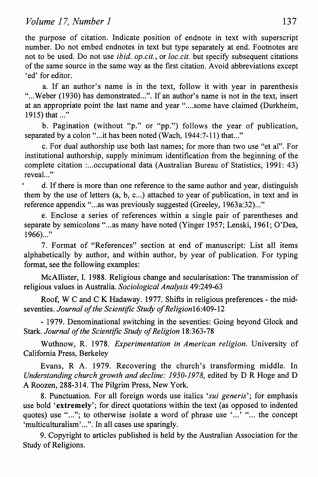the purpose of citation. Indicate position of endnote in text with superscript number. Do not embed endnotes in text but type separately at end. Footnotes are not to be used. Do not use *ibid. op.cit.,* or *loc.cit.* but specify subsequent citations of the same source in the same way as the first citation. A void abbreviations except 'ed' for editor.

a. If an author's name is in the text, follow it with year in parenthesis "... Weber (1930) has demonstrated...". If an author's name is not in the text, insert at an appropriate point the last name and year " .... some have claimed (Durkheim, 1915) that ..."

b. Pagination (without "p." or "pp.") follows the year of publication, separated by a colon "...it has been noted (Wach, 1944:7-11) that..."

c. For dual authorship use both last names; for more than two use "et al". For institutional authorship, supply minimum identification from the beginning of the complete citation :... occupational data (Australian Bureau of Statistics, 1991: 43) reveal..."

d. If there is more than one reference to the same author and year, distinguish them by the use of letters  $(a, b, c, ...)$  attached to year of publication, in text and in reference appendix "... as was previously suggested (Greeley, 1963a: 32)..."

e. Enclose a series of references within a single pair of parentheses and separate by semicolons "...as many have noted (Yinger 1957; Lenski, 1961; O'Dea,  $1966$ )..."

7. Format of "References" section at end of manuscript: List all items alphabetically by author, and within author, by year of publication. For typing format, see the following examples:

McAllister, I. 1988. Religious change and secularisation: The transmission of religious values in Australia. *Sociological Analysis* 49:249-63

Roof, W C and C K Hadaway. 1977. Shifts in religious preferences- the midseventies. *Journal of the Scientific Study of Religion*16:409-12

- 1979. Denominational switching in the seventies: Going beyond Glock and Stark. *Journal of the Scientific Study of Religion* 18:363-78

Wuthnow, R. 1978. *Experimentation in American religion.* University of California Press, Berkeley

Evans, R A. 1979. Recovering the church's transforming middle. In Understanding church growth and decline: 1950-1978, edited by D R Hoge and D A Roozen, 288-314. The Pilgrim Press, New York.

8. Punctuation. For all foreign words use italics *'sui generis';* for emphasis use bold **'extremely';** for direct quotations within the text (as opposed to indented quotes) use "..."; to otherwise isolate a word of phrase use '...' "... the concept 'multiculturalism'...". In all cases use sparingly.

9. Copyright to articles published is held by the Australian Association for the Study of Religions.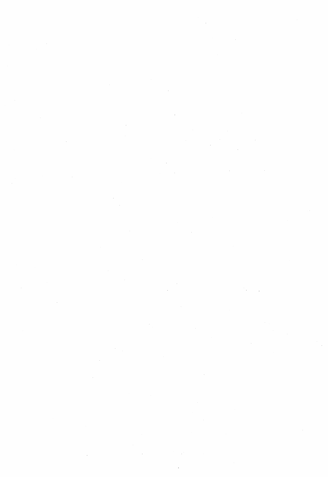